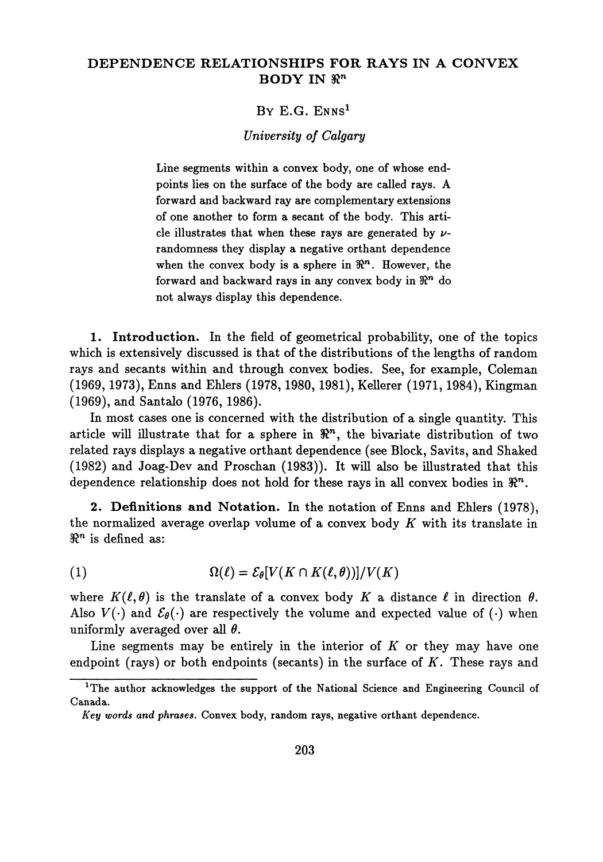## **DEPENDENCE RELATIONSHIPS FOR RAYS IN A CONVEX BODY IN**  $\mathbb{R}^n$

## BY E.G. ENNS<sup>1</sup>

## *University of Calgary*

Line segments within a convex body, one of whose end points lies on the surface of the body are called rays. A forward and backward ray are complementary extensions of one another to form a secant of the body. This arti cle illustrates that when these rays are generated by *v*randomness they display a negative orthant dependence when the convex body is a sphere in  $\mathbb{R}^n$ . However, the forward and backward rays in any convex body in  $\mathbb{R}^n$  do not always display this dependence.

**1. Introduction.** In the field of geometrical probability, one of the topics which is extensively discussed is that of the distributions of the lengths of random rays and secants within and through convex bodies. See, for example, Coleman (1969, 1973), Enns and Ehlers (1978,1980, 1981), KeUerer (1971,1984), Kingman (1969), and Santalo (1976, 1986).

In most cases one is concerned with the distribution of a single quantity. This article will illustrate that for a sphere in  $\mathbb{R}^n$ , the bivariate distribution of two related rays displays a negative orthant dependence (see Block, Savits, and Shaked (1982) and Joag-Dev and Proschan (1983)). It will also be illustrated that this dependence relationship does not hold for these rays in all convex bodies in  $\mathbb{R}^n$ .

**2. Definitions and Notation.** In the notation of Enns and Ehlers (1978), the normalized average overlap volume of a convex body *K* with its translate in  $\Re^n$  is defined as:

(1) 
$$
\Omega(\ell) = \mathcal{E}_{\theta}[V(K \cap K(\ell, \theta))] / V(K)
$$

where  $K(\ell, \theta)$  is the translate of a convex body K a distance  $\ell$  in direction  $\theta$ . Also  $V(\cdot)$  and  $\mathcal{E}_{\theta}(\cdot)$  are respectively the volume and expected value of ( $\cdot$ ) when uniformly averaged over all *θ.*

Line segments may be entirely in the interior of *K* or they may have one endpoint (rays) or both endpoints (secants) in the surface of *K.* These rays and

<sup>&</sup>lt;sup>1</sup>The author acknowledges the support of the National Science and Engineering Council of Canada.

*Key words and phrases.* Convex body, random rays, negative orthant dependence.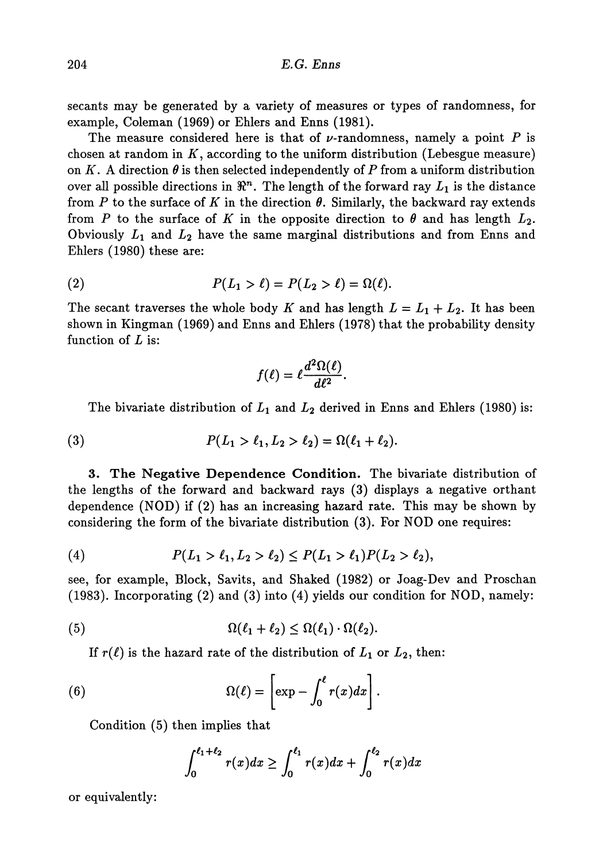secants may be generated by a variety of measures or types of randomness, for example, Coleman (1969) or Ehlers and Enns (1981).

The measure considered here is that of  $\nu$ -randomness, namely a point  $P$  is chosen at random in *K,* according to the uniform distribution (Lebesgue measure) on *K.* A direction *θ* is then selected independently of *P* from a uniform distribution over all possible directions in  $\mathbb{R}^n$ . The length of the forward ray  $L_1$  is the distance from *P* to the surface of *K* in the direction *θ.* Similarly, the backward ray extends from *P* to the surface of K in the opposite direction to  $\theta$  and has length  $L_2$ . Obviously *L\* and *L2* have the same marginal distributions and from Enns and Ehlers (1980) these are:

(2) 
$$
P(L_1 > \ell) = P(L_2 > \ell) = \Omega(\ell).
$$

The secant traverses the whole body K and has length  $L = L_1 + L_2$ . It has been shown in Kingman (1969) and Enns and Ehlers (1978) that the probability density function of *L* is:

$$
f(\ell)=\ell\frac{d^2\Omega(\ell)}{d\ell^2}.
$$

The bivariate distribution of  $L_1$  and  $L_2$  derived in Enns and Ehlers (1980) is:

(3) 
$$
P(L_1 > \ell_1, L_2 > \ell_2) = \Omega(\ell_1 + \ell_2).
$$

3. The Negative Dependence Condition. The bivariate distribution of the lengths of the forward and backward rays (3) displays a negative orthant dependence (NOD) if (2) has an increasing hazard rate. This may be shown by considering the form of the bivariate distribution (3). For NOD one requires:

(4) 
$$
P(L_1 > \ell_1, L_2 > \ell_2) \leq P(L_1 > \ell_1) P(L_2 > \ell_2),
$$

see, for example, Block, Savits, and Shaked (1982) or Joag-Dev and Proschan (1983). Incorporating (2) and (3) into (4) yields our condition for NOD, namely:

(5) 
$$
\Omega(\ell_1+\ell_2)\leq \Omega(\ell_1)\cdot \Omega(\ell_2).
$$

If  $r(\ell)$  is the hazard rate of the distribution of  $L_1$  or  $L_2$ , then:

(6) 
$$
\Omega(\ell) = \left[ \exp - \int_0^{\ell} r(x) dx \right].
$$

Condition (5) then implies that

$$
\int_0^{\ell_1+\ell_2} r(x)dx \ge \int_0^{\ell_1} r(x)dx + \int_0^{\ell_2} r(x)dx
$$

or equivalently: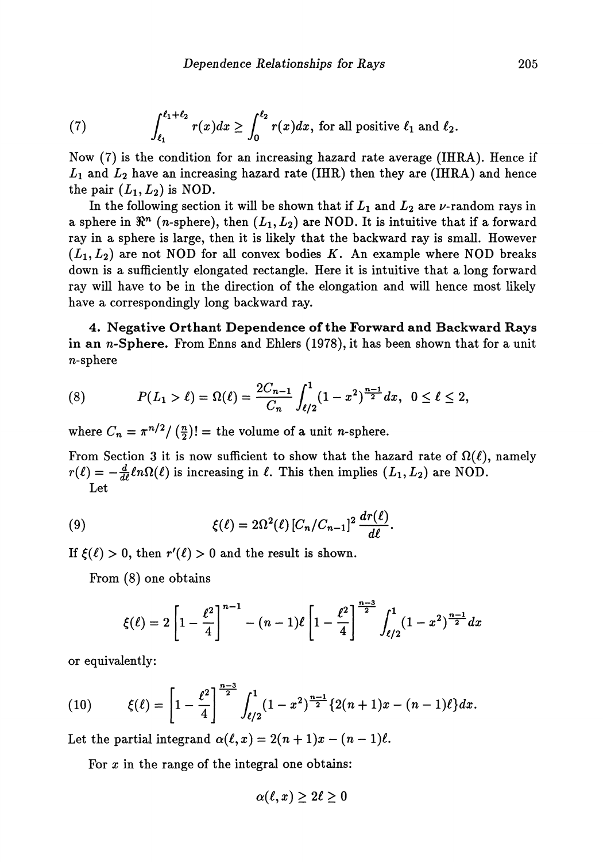(7) 
$$
\int_{\ell_1}^{\ell_1+\ell_2} r(x)dx \geq \int_0^{\ell_2} r(x)dx
$$
, for all positive  $\ell_1$  and  $\ell_2$ .

Now (7) is the condition for an increasing hazard rate average (IHRA). Hence if  $L_1$  and  $L_2$  have an increasing hazard rate (IHR) then they are (IHRA) and hence the pair  $(L_1, L_2)$  is NOD.

In the following section it will be shown that if  $L_1$  and  $L_2$  are  $\nu$ -random rays in a sphere in  $\Re^n$  (n-sphere), then  $(L_1,L_2)$  are NOD. It is intuitive that if a forward ray in a sphere is large, then it is likely that the backward ray is small. However  $(L_1, L_2)$  are not NOD for all convex bodies K. An example where NOD breaks down is a sufficiently elongated rectangle. Here it is intuitive that a long forward ray will have to be in the direction of the elongation and will hence most likely have a correspondingly long backward ray.

**4. Negative Orthant Dependence of the Forward and Backward** Rays in an  $n$ -Sphere. From Enns and Ehlers (1978), it has been shown that for a unit n-sphere

(8) 
$$
P(L_1 > \ell) = \Omega(\ell) = \frac{2C_{n-1}}{C_n} \int_{\ell/2}^1 (1 - x^2)^{\frac{n-1}{2}} dx, \ \ 0 \leq \ell \leq 2,
$$

where  $C_n = \pi^{n/2}/(\frac{n}{2})!$  = the volume of a unit *n*-sphere.

From Section 3 it is now sufficient to show that the hazard rate of  $\Omega(\ell)$ , namely  $r(\ell) = -\frac{d}{d\ell} \ell n \Omega(\ell)$  is increasing in  $\ell$ . This then implies  $(L_1, L_2)$  are NOD. Let

(9) 
$$
\xi(\ell) = 2\Omega^2(\ell) \left[ C_n/C_{n-1} \right]^2 \frac{dr(\ell)}{d\ell}.
$$

If  $\xi(\ell) > 0$ , then  $r'(\ell) > 0$  and the result is shown.

From (8) one obtains

$$
\xi(\ell) = 2\left[1 - \frac{\ell^2}{4}\right]^{n-1} - (n-1)\ell\left[1 - \frac{\ell^2}{4}\right]^{\frac{n-3}{2}} \int_{\ell/2}^1 (1-x^2)^{\frac{n-1}{2}} dx
$$

or equivalently:

(10) 
$$
\xi(\ell) = \left[1 - \frac{\ell^2}{4}\right]^{\frac{n-3}{2}} \int_{\ell/2}^1 (1-x^2)^{\frac{n-1}{2}} \{2(n+1)x - (n-1)\ell\} dx.
$$

Let the partial integrand  $\alpha(\ell, x) = 2(n + 1)x - (n - 1)\ell$ .

For  $x$  in the range of the integral one obtains:

$$
\alpha(\ell,x)\geq 2\ell\geq 0
$$